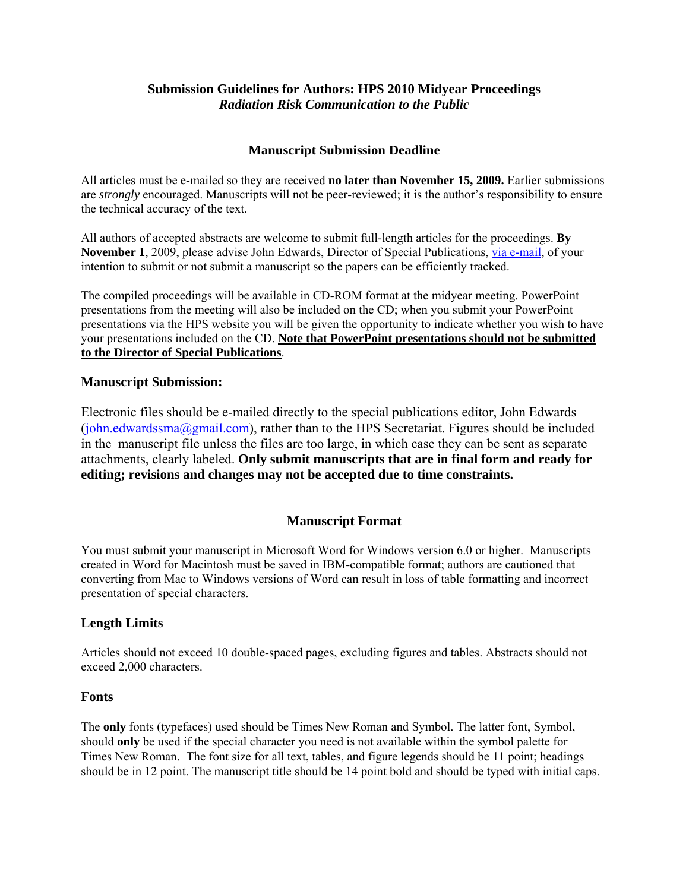# **Submission Guidelines for Authors: HPS 2010 Midyear Proceedings**  *Radiation Risk Communication to the Public*

## **Manuscript Submission Deadline**

All articles must be e-mailed so they are received **no later than November 15, 2009.** Earlier submissions are *strongly* encouraged. Manuscripts will not be peer-reviewed; it is the author's responsibility to ensure the technical accuracy of the text.

All authors of accepted abstracts are welcome to submit full-length articles for the proceedings. **By November 1**, 2009, please advise John Edwards, Director of Special Publications, [via e-mail](mailto:john.Edwards@hps.org), of your intention to submit or not submit a manuscript so the papers can be efficiently tracked.

The compiled proceedings will be available in CD-ROM format at the midyear meeting. PowerPoint presentations from the meeting will also be included on the CD; when you submit your PowerPoint presentations via the HPS website you will be given the opportunity to indicate whether you wish to have your presentations included on the CD. **Note that PowerPoint presentations should not be submitted to the Director of Special Publications**.

### **Manuscript Submission:**

Electronic files should be e-mailed directly to the special publications editor, John Edwards ([john.edwardssma@gmail.com\), rather than to the HPS Secretariat. Figures should be included](mailto:john.Edwards@hps.org)  [in the](mailto:john.Edwards@hps.org) manuscript file unless the files are too large, in which case they can be sent as separate attachments, clearly labeled. **Only submit manuscripts that are in final form and ready for editing; revisions and changes may not be accepted due to time constraints.** 

### **Manuscript Format**

You must submit your manuscript in Microsoft Word for Windows version 6.0 or higher. Manuscripts created in Word for Macintosh must be saved in IBM-compatible format; authors are cautioned that converting from Mac to Windows versions of Word can result in loss of table formatting and incorrect presentation of special characters.

### **Length Limits**

Articles should not exceed 10 double-spaced pages, excluding figures and tables. Abstracts should not exceed 2,000 characters.

#### **Fonts**

The **only** fonts (typefaces) used should be Times New Roman and Symbol. The latter font, Symbol, should **only** be used if the special character you need is not available within the symbol palette for Times New Roman. The font size for all text, tables, and figure legends should be 11 point; headings should be in 12 point. The manuscript title should be 14 point bold and should be typed with initial caps.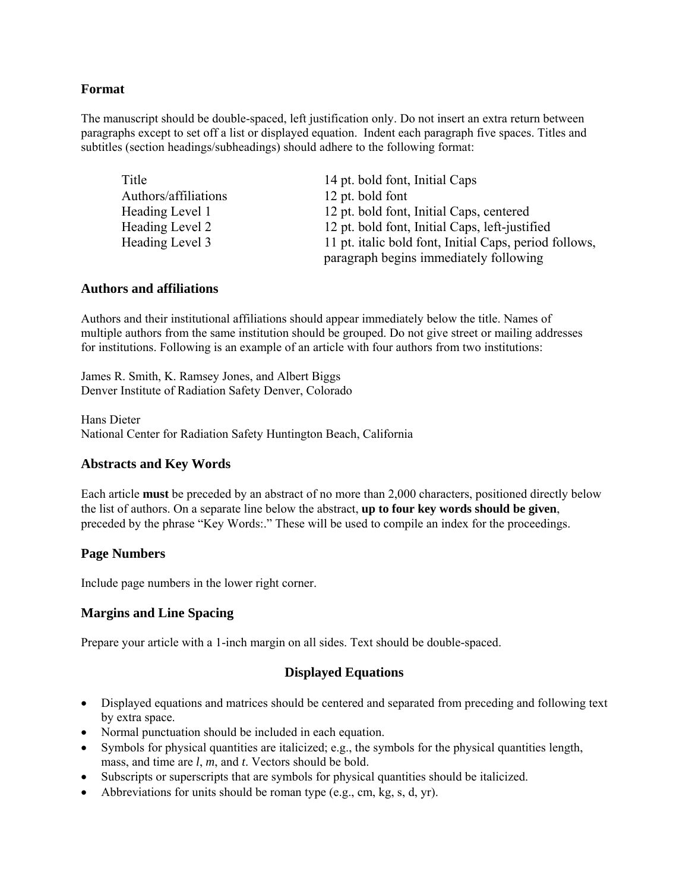### **Format**

The manuscript should be double-spaced, left justification only. Do not insert an extra return between paragraphs except to set off a list or displayed equation. Indent each paragraph five spaces. Titles and subtitles (section headings/subheadings) should adhere to the following format:

| Title                | 14 pt. bold font, Initial Caps                         |
|----------------------|--------------------------------------------------------|
| Authors/affiliations | 12 pt. bold font                                       |
| Heading Level 1      | 12 pt. bold font, Initial Caps, centered               |
| Heading Level 2      | 12 pt. bold font, Initial Caps, left-justified         |
| Heading Level 3      | 11 pt. italic bold font, Initial Caps, period follows, |
|                      | paragraph begins immediately following                 |

### **Authors and affiliations**

Authors and their institutional affiliations should appear immediately below the title. Names of multiple authors from the same institution should be grouped. Do not give street or mailing addresses for institutions. Following is an example of an article with four authors from two institutions:

James R. Smith, K. Ramsey Jones, and Albert Biggs Denver Institute of Radiation Safety Denver, Colorado

Hans Dieter National Center for Radiation Safety Huntington Beach, California

### **Abstracts and Key Words**

Each article **must** be preceded by an abstract of no more than 2,000 characters, positioned directly below the list of authors. On a separate line below the abstract, **up to four key words should be given**, preceded by the phrase "Key Words:." These will be used to compile an index for the proceedings.

### **Page Numbers**

Include page numbers in the lower right corner.

### **Margins and Line Spacing**

Prepare your article with a 1-inch margin on all sides. Text should be double-spaced.

### **Displayed Equations**

- Displayed equations and matrices should be centered and separated from preceding and following text by extra space.
- Normal punctuation should be included in each equation.
- Symbols for physical quantities are italicized; e.g., the symbols for the physical quantities length, mass, and time are *l*, *m*, and *t*. Vectors should be bold.
- Subscripts or superscripts that are symbols for physical quantities should be italicized.
- Abbreviations for units should be roman type  $(e.g., cm, kg, s, d, yr)$ .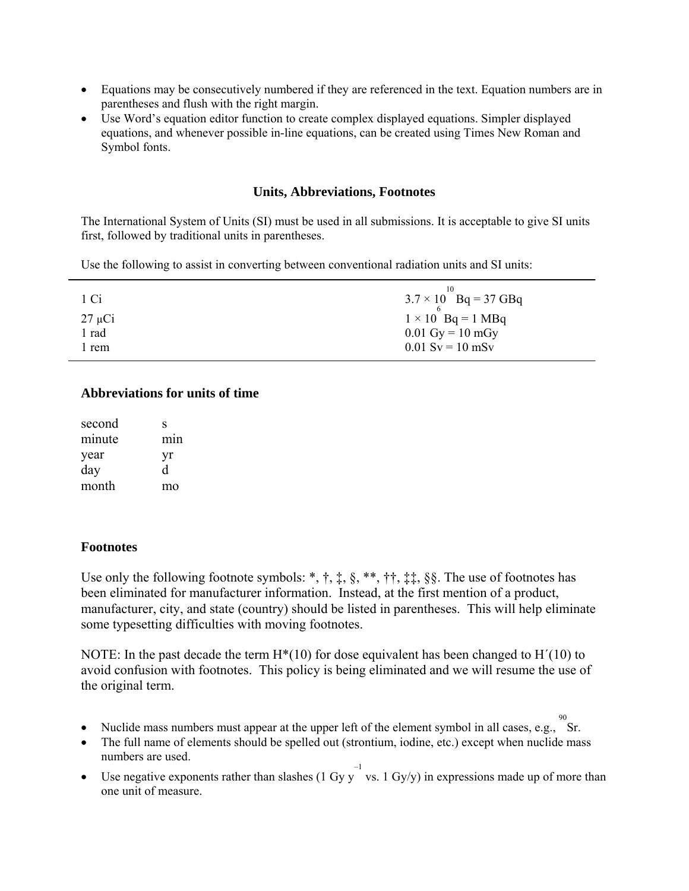- Equations may be consecutively numbered if they are referenced in the text. Equation numbers are in parentheses and flush with the right margin.
- Use Word's equation editor function to create complex displayed equations. Simpler displayed equations, and whenever possible in-line equations, can be created using Times New Roman and Symbol fonts.

#### **Units, Abbreviations, Footnotes**

The International System of Units (SI) must be used in all submissions. It is acceptable to give SI units first, followed by traditional units in parentheses.

Use the following to assist in converting between conventional radiation units and SI units:

| 1 Ci        | $3.7 \times 10$ Bq = 37 GBq        |
|-------------|------------------------------------|
| $27 \mu Ci$ | $1 \times 10$ Bq = 1 MBq           |
| l rad       | $0.01 \text{ Gy} = 10 \text{ mGy}$ |
| l rem       | $0.01$ Sv = 10 mSv                 |

## **Abbreviations for units of time**

| second | S                |
|--------|------------------|
| minute | m <sub>1</sub> n |
| year   | yr               |
| day    | d                |
| month  | mo               |

### **Footnotes**

Use only the following footnote symbols: \*,  $\dagger$ ,  $\dagger$ ,  $\dagger$ ,  $\dagger$ ,  $\dagger$ ,  $\dagger$ ,  $\dagger$ ,  $\dagger$ ,  $\dagger$ ,  $\dagger$ ,  $\dagger$ ,  $\dagger$ ,  $\dagger$ ,  $\dagger$ ,  $\dagger$ ,  $\dagger$ ,  $\dagger$ ,  $\dagger$ ,  $\dagger$ ,  $\dagger$ ,  $\dagger$ ,  $\dagger$ ,  $\dagger$ ,  $\dagger$ ,  $\dagger$ ,  $\dagger$ ,  $\dagger$ ,  $\dagger$ ,  $\dagger$ ,  $\dagger$ been eliminated for manufacturer information. Instead, at the first mention of a product, manufacturer, city, and state (country) should be listed in parentheses. This will help eliminate some typesetting difficulties with moving footnotes.

NOTE: In the past decade the term  $H^*(10)$  for dose equivalent has been changed to  $H'(10)$  to avoid confusion with footnotes. This policy is being eliminated and we will resume the use of the original term.

- Nuclide mass numbers must appear at the upper left of the element symbol in all cases, e.g., Sr.
- The full name of elements should be spelled out (strontium, iodine, etc.) except when nuclide mass numbers are used.
- Use negative exponents rather than slashes (1 Gy y vs. 1 Gy/y) in expressions made up of more than one unit of measure.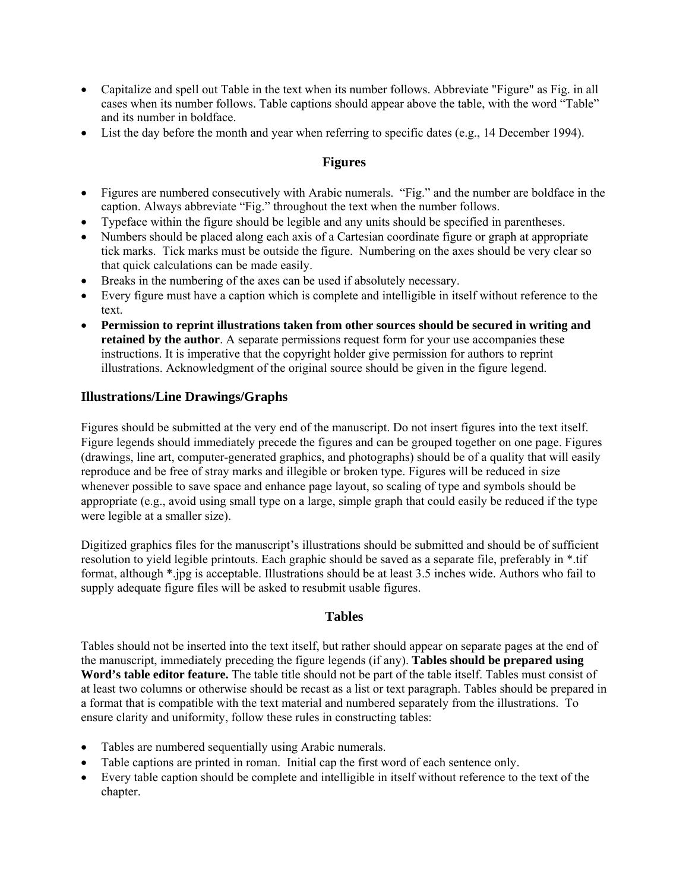- Capitalize and spell out Table in the text when its number follows. Abbreviate "Figure" as Fig. in all cases when its number follows. Table captions should appear above the table, with the word "Table" and its number in boldface.
- List the day before the month and year when referring to specific dates (e.g., 14 December 1994).

## **Figures**

- Figures are numbered consecutively with Arabic numerals. "Fig." and the number are boldface in the caption. Always abbreviate "Fig." throughout the text when the number follows.
- Typeface within the figure should be legible and any units should be specified in parentheses.
- Numbers should be placed along each axis of a Cartesian coordinate figure or graph at appropriate tick marks. Tick marks must be outside the figure. Numbering on the axes should be very clear so that quick calculations can be made easily.
- Breaks in the numbering of the axes can be used if absolutely necessary.
- Every figure must have a caption which is complete and intelligible in itself without reference to the text.
- **Permission to reprint illustrations taken from other sources should be secured in writing and retained by the author**. A separate permissions request form for your use accompanies these instructions. It is imperative that the copyright holder give permission for authors to reprint illustrations. Acknowledgment of the original source should be given in the figure legend.

### **Illustrations/Line Drawings/Graphs**

Figures should be submitted at the very end of the manuscript. Do not insert figures into the text itself. Figure legends should immediately precede the figures and can be grouped together on one page. Figures (drawings, line art, computer-generated graphics, and photographs) should be of a quality that will easily reproduce and be free of stray marks and illegible or broken type. Figures will be reduced in size whenever possible to save space and enhance page layout, so scaling of type and symbols should be appropriate (e.g., avoid using small type on a large, simple graph that could easily be reduced if the type were legible at a smaller size).

Digitized graphics files for the manuscript's illustrations should be submitted and should be of sufficient resolution to yield legible printouts. Each graphic should be saved as a separate file, preferably in \*.tif format, although \*.jpg is acceptable. Illustrations should be at least 3.5 inches wide. Authors who fail to supply adequate figure files will be asked to resubmit usable figures.

### **Tables**

Tables should not be inserted into the text itself, but rather should appear on separate pages at the end of the manuscript, immediately preceding the figure legends (if any). **Tables should be prepared using Word's table editor feature.** The table title should not be part of the table itself. Tables must consist of at least two columns or otherwise should be recast as a list or text paragraph. Tables should be prepared in a format that is compatible with the text material and numbered separately from the illustrations. To ensure clarity and uniformity, follow these rules in constructing tables:

- Tables are numbered sequentially using Arabic numerals.
- Table captions are printed in roman. Initial cap the first word of each sentence only.
- Every table caption should be complete and intelligible in itself without reference to the text of the chapter.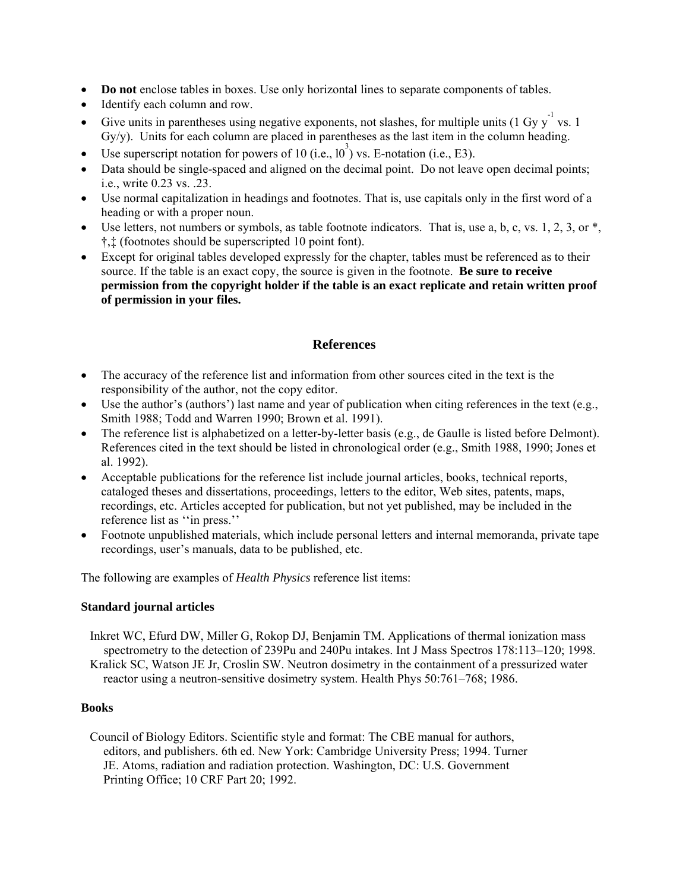- **Do not** enclose tables in boxes. Use only horizontal lines to separate components of tables.
- Identify each column and row.
- Give units in parentheses using negative exponents, not slashes, for multiple units (1 Gy y vs. 1) Gy/y). Units for each column are placed in parentheses as the last item in the column heading.
- Use superscript notation for powers of 10 (i.e.,  $10^3$ ) vs. E-notation (i.e., E3).
- Data should be single-spaced and aligned on the decimal point. Do not leave open decimal points: i.e., write 0.23 vs. .23.
- Use normal capitalization in headings and footnotes. That is, use capitals only in the first word of a heading or with a proper noun.
- Use letters, not numbers or symbols, as table footnote indicators. That is, use a, b, c, vs. 1, 2, 3, or  $*,$ †,‡ (footnotes should be superscripted 10 point font).
- Except for original tables developed expressly for the chapter, tables must be referenced as to their source. If the table is an exact copy, the source is given in the footnote. **Be sure to receive permission from the copyright holder if the table is an exact replicate and retain written proof of permission in your files.**

# **References**

- The accuracy of the reference list and information from other sources cited in the text is the responsibility of the author, not the copy editor.
- Use the author's (authors') last name and year of publication when citing references in the text (e.g., Smith 1988; Todd and Warren 1990; Brown et al. 1991).
- The reference list is alphabetized on a letter-by-letter basis (e.g., de Gaulle is listed before Delmont). References cited in the text should be listed in chronological order (e.g., Smith 1988, 1990; Jones et al. 1992).
- Acceptable publications for the reference list include journal articles, books, technical reports, cataloged theses and dissertations, proceedings, letters to the editor, Web sites, patents, maps, recordings, etc. Articles accepted for publication, but not yet published, may be included in the reference list as ''in press.''
- Footnote unpublished materials, which include personal letters and internal memoranda, private tape recordings, user's manuals, data to be published, etc.

The following are examples of *Health Physics* reference list items:

#### **Standard journal articles**

Inkret WC, Efurd DW, Miller G, Rokop DJ, Benjamin TM. Applications of thermal ionization mass spectrometry to the detection of 239Pu and 240Pu intakes. Int J Mass Spectros 178:113–120; 1998. Kralick SC, Watson JE Jr, Croslin SW. Neutron dosimetry in the containment of a pressurized water reactor using a neutron-sensitive dosimetry system. Health Phys 50:761–768; 1986.

#### **Books**

Council of Biology Editors. Scientific style and format: The CBE manual for authors, editors, and publishers. 6th ed. New York: Cambridge University Press; 1994. Turner JE. Atoms, radiation and radiation protection. Washington, DC: U.S. Government Printing Office; 10 CRF Part 20; 1992.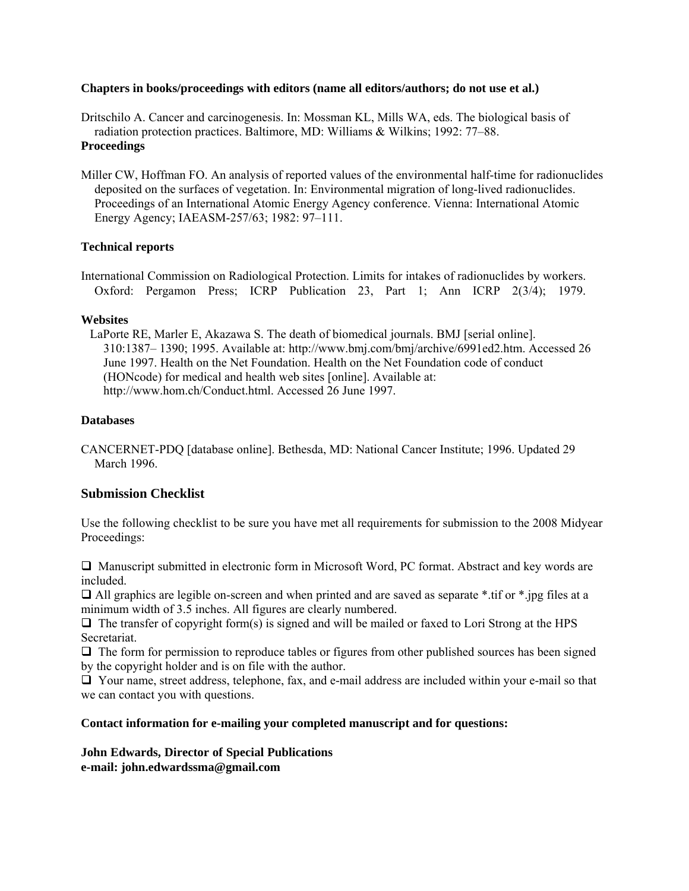#### **Chapters in books/proceedings with editors (name all editors/authors; do not use et al.)**

Dritschilo A. Cancer and carcinogenesis. In: Mossman KL, Mills WA, eds. The biological basis of radiation protection practices. Baltimore, MD: Williams & Wilkins; 1992: 77–88.

#### **Proceedings**

Miller CW, Hoffman FO. An analysis of reported values of the environmental half-time for radionuclides deposited on the surfaces of vegetation. In: Environmental migration of long-lived radionuclides. Proceedings of an International Atomic Energy Agency conference. Vienna: International Atomic Energy Agency; IAEASM-257/63; 1982: 97–111.

#### **Technical reports**

International Commission on Radiological Protection. Limits for intakes of radionuclides by workers. Oxford: Pergamon Press; ICRP Publication 23, Part 1; Ann ICRP 2(3/4); 1979.

#### **Websites**

LaPorte RE, Marler E, Akazawa S. The death of biomedical journals. BMJ [serial online]. 310:1387– 1390; 1995. Available at: http://www.bmj.com/bmj/archive/6991ed2.htm. Accessed 26 June 1997. Health on the Net Foundation. Health on the Net Foundation code of conduct (HONcode) for medical and health web sites [online]. Available at: http://www.hom.ch/Conduct.html. Accessed 26 June 1997.

#### **Databases**

CANCERNET-PDQ [database online]. Bethesda, MD: National Cancer Institute; 1996. Updated 29 March 1996.

#### **Submission Checklist**

Use the following checklist to be sure you have met all requirements for submission to the 2008 Midyear Proceedings:

 Manuscript submitted in electronic form in Microsoft Word, PC format. Abstract and key words are included.

 $\Box$  All graphics are legible on-screen and when printed and are saved as separate \*.tif or \*.jpg files at a minimum width of 3.5 inches. All figures are clearly numbered.

 $\Box$  The transfer of copyright form(s) is signed and will be mailed or faxed to Lori Strong at the HPS Secretariat.

 $\Box$  The form for permission to reproduce tables or figures from other published sources has been signed by the copyright holder and is on file with the author.

 Your name, street address, telephone, fax, and e-mail address are included within your e-mail so that we can contact you with questions.

#### **Contact information for e-mailing your completed manuscript and for questions:**

**John Edwards, Director of Special Publications e-mail: john.edwardssma@gmail.com**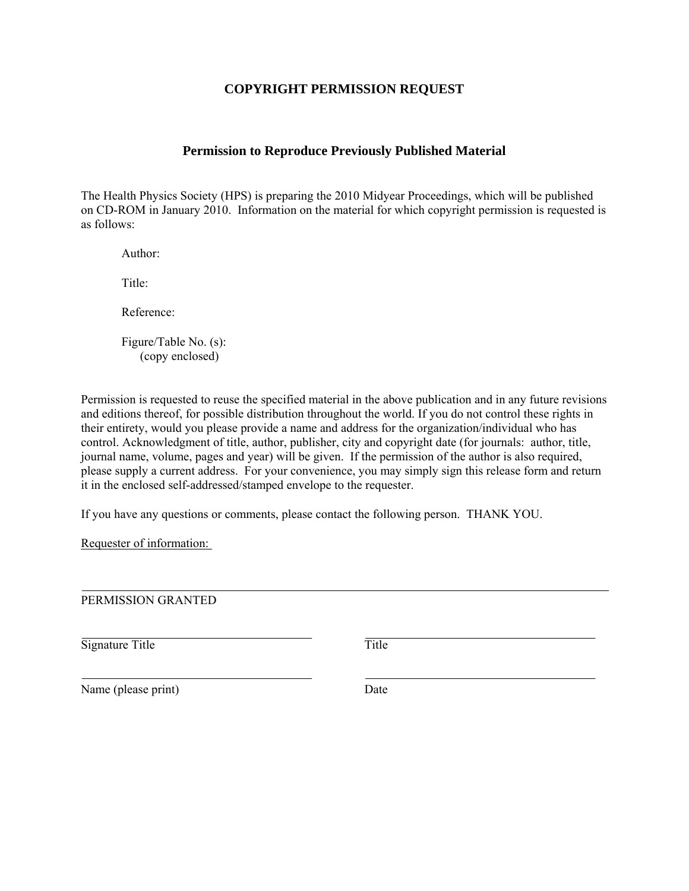# **COPYRIGHT PERMISSION REQUEST**

## **Permission to Reproduce Previously Published Material**

The Health Physics Society (HPS) is preparing the 2010 Midyear Proceedings, which will be published on CD-ROM in January 2010. Information on the material for which copyright permission is requested is as follows:

Author:

Title<sup>.</sup>

Reference:

Figure/Table No. (s): (copy enclosed)

Permission is requested to reuse the specified material in the above publication and in any future revisions and editions thereof, for possible distribution throughout the world. If you do not control these rights in their entirety, would you please provide a name and address for the organization/individual who has control. Acknowledgment of title, author, publisher, city and copyright date (for journals: author, title, journal name, volume, pages and year) will be given. If the permission of the author is also required, please supply a current address. For your convenience, you may simply sign this release form and return it in the enclosed self-addressed/stamped envelope to the requester.

If you have any questions or comments, please contact the following person. THANK YOU.

Requester of information:

PERMISSION GRANTED

Signature Title Title Title

Name (please print) Date